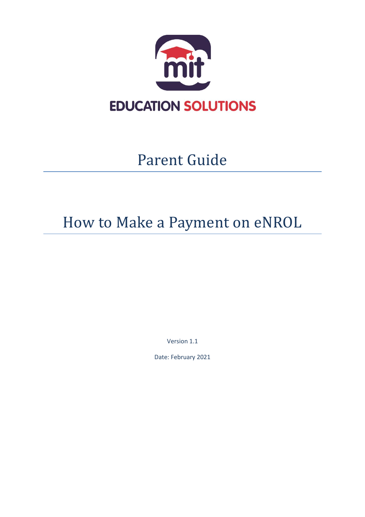

# Parent Guide

# How to Make a Payment on eNROL

Version 1.1

Date: February 2021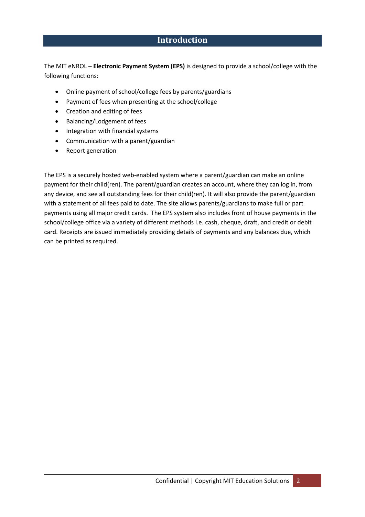### **Introduction**

The MIT eNROL – **Electronic Payment System (EPS)** is designed to provide a school/college with the following functions:

- Online payment of school/college fees by parents/guardians
- Payment of fees when presenting at the school/college
- Creation and editing of fees
- Balancing/Lodgement of fees
- Integration with financial systems
- Communication with a parent/guardian
- Report generation

The EPS is a securely hosted web-enabled system where a parent/guardian can make an online payment for their child(ren). The parent/guardian creates an account, where they can log in, from any device, and see all outstanding fees for their child(ren). It will also provide the parent/guardian with a statement of all fees paid to date. The site allows parents/guardians to make full or part payments using all major credit cards. The EPS system also includes front of house payments in the school/college office via a variety of different methods i.e. cash, cheque, draft, and credit or debit card. Receipts are issued immediately providing details of payments and any balances due, which can be printed as required.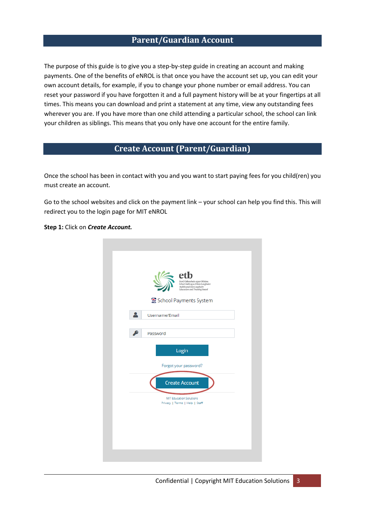#### **Parent/Guardian Account**

The purpose of this guide is to give you a step-by-step guide in creating an account and making payments. One of the benefits of eNROL is that once you have the account set up, you can edit your own account details, for example, if you to change your phone number or email address. You can reset your password if you have forgotten it and a full payment history will be at your fingertips at all times. This means you can download and print a statement at any time, view any outstanding fees wherever you are. If you have more than one child attending a particular school, the school can link your children as siblings. This means that you only have one account for the entire family.

### **Create Account (Parent/Guardian)**

Once the school has been in contact with you and you want to start paying fees for you child(ren) you must create an account.

Go to the school websites and click on the payment link – your school can help you find this. This will redirect you to the login page for MIT eNROL

**Step 1:** Click on *Create Account.*

| Bord Oideachais agus Oiliúna<br>Átha Cliath agus Dhún Laoghaire<br><b>Dublin and Dún Looghaire</b><br>Education and Training Board |
|------------------------------------------------------------------------------------------------------------------------------------|
| School Payments System                                                                                                             |
| Username/Email                                                                                                                     |
| Password                                                                                                                           |
| Login                                                                                                                              |
| Forgot your password?                                                                                                              |
| <b>Create Account</b>                                                                                                              |
| <b>MIT Education Solutions</b><br>Privacy   Terms   Help   Staff                                                                   |
|                                                                                                                                    |
|                                                                                                                                    |
|                                                                                                                                    |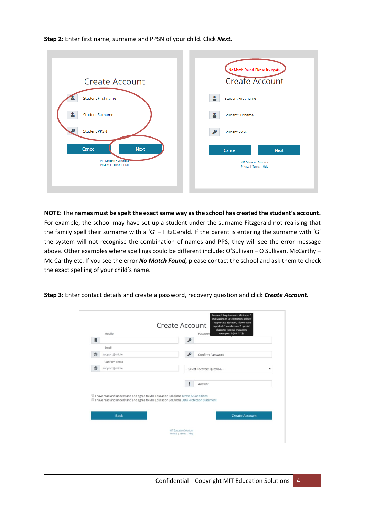**Step 2:** Enter first name, surname and PPSN of your child. Click *Next.*

|                                                         | No Match Found. Please Try Again.                       |
|---------------------------------------------------------|---------------------------------------------------------|
| <b>Create Account</b>                                   | <b>Create Account</b>                                   |
| Student First name                                      | А<br>Student First name                                 |
| ≗<br><b>Student Surname</b>                             | д<br><b>Student Surname</b>                             |
| <b>Student PPSN</b>                                     | ₽<br><b>Student PPSN</b>                                |
| Cancel<br><b>Next</b><br><b>MIT Education Solutions</b> | Cancel<br><b>Next</b><br><b>MIT Education Solutions</b> |
| Privacy   Terms   Help                                  | Privacy   Terms   Help                                  |
|                                                         |                                                         |

**NOTE:** The **names must be spelt the exact same way as the school has created the student's account.** For example, the school may have set up a student under the surname Fitzgerald not realising that the family spell their surname with a 'G' – FitzGerald. If the parent is entering the surname with 'G' the system will not recognise the combination of names and PPS, they will see the error message above. Other examples where spellings could be different include: O'Sullivan – O Sullivan, McCarthy – Mc Carthy etc. If you see the error *No Match Found,* please contact the school and ask them to check the exact spelling of your child's name.

**Step 3:** Enter contact details and create a password, recovery question and click *Create Account.*

| Email<br>$^{\circ}$<br>support@mit.ie<br>Confirm Password<br>Confirm Email<br>$\circledcirc$<br>support@mit.ie<br>-- Select Recovery Question --<br>Answer<br>Il have read and understand and agree to MIT Education Solutions Terms & Conditions<br>I have read and understand and agree to MIT Education Solutions Data Protection Statement | Mobile | character (special characters<br>examples: $\theta$ & * ? \$)<br>Password |
|------------------------------------------------------------------------------------------------------------------------------------------------------------------------------------------------------------------------------------------------------------------------------------------------------------------------------------------------|--------|---------------------------------------------------------------------------|
|                                                                                                                                                                                                                                                                                                                                                |        |                                                                           |
|                                                                                                                                                                                                                                                                                                                                                |        |                                                                           |
|                                                                                                                                                                                                                                                                                                                                                |        |                                                                           |
|                                                                                                                                                                                                                                                                                                                                                |        |                                                                           |
|                                                                                                                                                                                                                                                                                                                                                |        | ۰                                                                         |
| <b>Back</b><br><b>Create Account</b>                                                                                                                                                                                                                                                                                                           |        |                                                                           |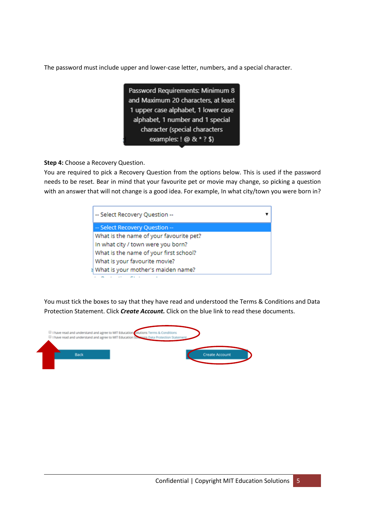The password must include upper and lower-case letter, numbers, and a special character.

Password Requirements: Minimum 8 and Maximum 20 characters, at least 1 upper case alphabet, 1 lower case alphabet, 1 number and 1 special character (special characters examples:  $9 \& * ?$ \$)

**Step 4:** Choose a Recovery Question.

You are required to pick a Recovery Question from the options below. This is used if the password needs to be reset. Bear in mind that your favourite pet or movie may change, so picking a question with an answer that will not change is a good idea. For example, In what city/town you were born in?

| -- Select Recovery Question --          |  |
|-----------------------------------------|--|
| -- Select Recovery Question --          |  |
| What is the name of your favourite pet? |  |
| In what city / town were you born?      |  |
| What is the name of your first school?  |  |
| What is your favourite movie?           |  |
| What is your mother's maiden name?      |  |

You must tick the boxes to say that they have read and understood the Terms & Conditions and Data Protection Statement. Click *Create Account.* Click on the blue link to read these documents.

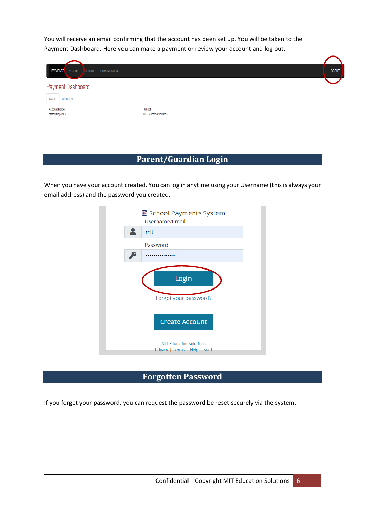You will receive an email confirming that the account has been set up. You will be taken to the Payment Dashboard. Here you can make a payment or review your account and log out.

| <b>PAYMENTS</b>                             | ACCOUNT HISTORY COMMUNICATIONS |                                          | LOGOUT |
|---------------------------------------------|--------------------------------|------------------------------------------|--------|
|                                             | <b>Payment Dashboard</b>       |                                          |        |
| <b>FAMILY</b>                               | <b>Orlaith Test</b>            |                                          |        |
| <b>Account Holder</b><br>ofitzgerald@mit.ie |                                | School<br><b>MIT Education Solutions</b> |        |

## **Parent/Guardian Login**

When you have your account created. You can log in anytime using your Username (this is always your email address) and the password you created.



# **Forgotten Password**

If you forget your password, you can request the password be reset securely via the system.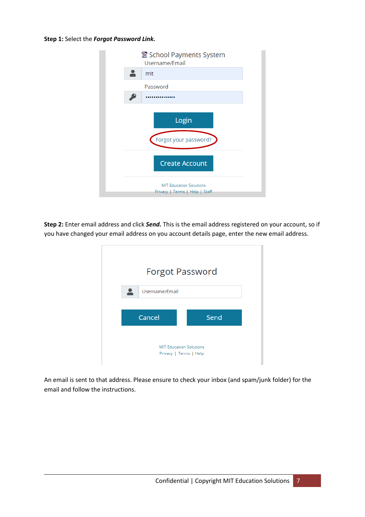#### **Step 1:** Select the *Forgot Password Link.*

| School Payments System<br>Username/Email                         |  |
|------------------------------------------------------------------|--|
| mit                                                              |  |
| Password                                                         |  |
|                                                                  |  |
| Login<br>Forgot your password?                                   |  |
| <b>Create Account</b>                                            |  |
| <b>MIT Education Solutions</b><br>Privacy   Terms   Help   Staff |  |

**Step 2:** Enter email address and click *Send.* This is the email address registered on your account, so if you have changed your email address on you account details page, enter the new email address.

| <b>Forgot Password</b>                                   |      |
|----------------------------------------------------------|------|
| Username/Email                                           |      |
| Cancel                                                   | Send |
| <b>MIT Education Solutions</b><br>Privacy   Terms   Help |      |

An email is sent to that address. Please ensure to check your inbox (and spam/junk folder) for the email and follow the instructions.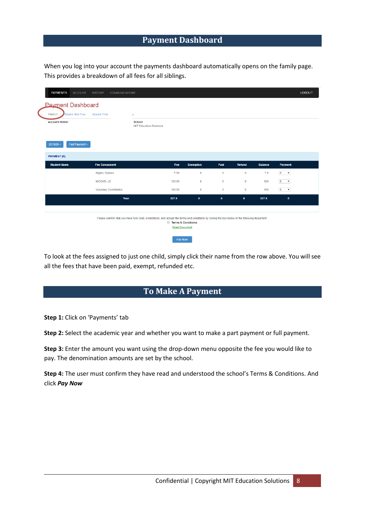### **Payment Dashboard**

When you log into your account the payments dashboard automatically opens on the family page. This provides a breakdown of all fees for all siblings.

| <b>PAYMENTS</b><br>ACCOUNT               | <b>COMMUNICATIONS</b><br><b>HISTORY</b> |                                                                                                                                              |                                            |                  |             |             |                |                                | LOGOUT |
|------------------------------------------|-----------------------------------------|----------------------------------------------------------------------------------------------------------------------------------------------|--------------------------------------------|------------------|-------------|-------------|----------------|--------------------------------|--------|
| <b>Payment Dashboard</b>                 |                                         |                                                                                                                                              |                                            |                  |             |             |                |                                |        |
| <b>FAMILY</b><br><b>System Test Four</b> | <b>System T'est</b>                     | v                                                                                                                                            |                                            |                  |             |             |                |                                |        |
| <b>Account Holder</b>                    |                                         | <b>School</b><br><b>MIT Education Solutions</b>                                                                                              |                                            |                  |             |             |                |                                |        |
| Part Payment +<br>$2019/20 -$            |                                         |                                                                                                                                              |                                            |                  |             |             |                |                                |        |
| PAYMENT (€)                              |                                         |                                                                                                                                              |                                            |                  |             |             |                |                                |        |
| <b>Student Name</b>                      | <b>Fee Component</b>                    |                                                                                                                                              | Fee                                        | <b>Exemption</b> | Paid        | Retund      | <b>Balance</b> | Payment                        |        |
|                                          | <b>Higher Options</b>                   |                                                                                                                                              | 7.50                                       | $\bf{0}$         | $\circ$     | $\mathbf 0$ | 7.5            | $0 \rightarrow$                |        |
|                                          | MOCKS-JC                                |                                                                                                                                              | 120.00                                     | $\mathbf{0}$     | $\circ$     | $\circ$     | 120            | $0 \rightarrow$                |        |
|                                          | <b>Voluntary Contribution</b>           |                                                                                                                                              | 100.00                                     | $\mathbf{0}$     | $\circ$     | $\bf{0}$    | 100            | $\overline{0}$<br>$\mathbf{v}$ |        |
|                                          | <b>Total</b>                            |                                                                                                                                              | 227.5                                      | $\bullet$        | $\mathbf 0$ | $\bullet$   | 227.5          | $\pmb{\mathsf{o}}$             |        |
|                                          |                                         |                                                                                                                                              |                                            |                  |             |             |                |                                |        |
|                                          |                                         | Please confirm that you have fully read, understood, and accept the terms and conditions by ticking the box below of the following document: | Terms & Conditions<br><b>Read Document</b> |                  |             |             |                |                                |        |
|                                          |                                         |                                                                                                                                              | Pay Now                                    |                  |             |             |                |                                |        |

To look at the fees assigned to just one child, simply click their name from the row above. You will see all the fees that have been paid, exempt, refunded etc.

# **To Make A Payment**

**Step 1:** Click on 'Payments' tab

**Step 2:** Select the academic year and whether you want to make a part payment or full payment.

**Step 3:** Enter the amount you want using the drop-down menu opposite the fee you would like to pay. The denomination amounts are set by the school.

**Step 4:** The user must confirm they have read and understood the school's Terms & Conditions. And click *Pay Now*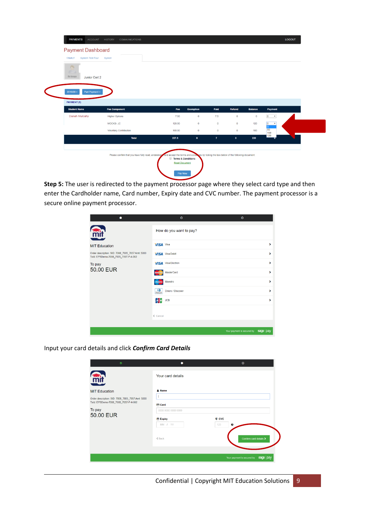| <b>Payment Dashboard</b><br><b>FAMILY</b><br><b>System Test Four</b> | System                        |                                                                                                                                             |                  |              |             |                |                                                                  |  |
|----------------------------------------------------------------------|-------------------------------|---------------------------------------------------------------------------------------------------------------------------------------------|------------------|--------------|-------------|----------------|------------------------------------------------------------------|--|
| $\sim$<br>C)<br><b>No Image</b><br>Junior Cert 2                     |                               |                                                                                                                                             |                  |              |             |                |                                                                  |  |
| $2019/20 -$<br>Part Payment -                                        |                               |                                                                                                                                             |                  |              |             |                |                                                                  |  |
| <b>PAYMENT (€)</b>                                                   |                               |                                                                                                                                             |                  |              |             |                |                                                                  |  |
| <b>Student Name</b>                                                  | <b>Fee Component</b>          | Fee                                                                                                                                         | <b>Exemption</b> | Paid         | Refund      | <b>Balance</b> | Payment                                                          |  |
| <b>Danah Mulcahy</b>                                                 | <b>Higher Options</b>         | 7.50                                                                                                                                        | $\circ$          | 7.5          | $\circ$     | $\circ$        | $0 \rightarrow$                                                  |  |
|                                                                      | MOCKS- JC                     | 120.00                                                                                                                                      | $\mathbf 0$      | $\mathbf 0$  | $\mathbf 0$ | 120            | $\overline{\bullet}$<br>$\pmb{\cdot}$<br>$\overline{\mathbf{0}}$ |  |
|                                                                      | <b>Voluntary Contribution</b> | 100.00                                                                                                                                      | $\circ$          | $\mathbf 0$  | $\circ$     | 100            | 50<br>100                                                        |  |
|                                                                      | <b>Total</b>                  | 227.5                                                                                                                                       | $\bullet$        | $\mathbf{7}$ | $\bullet$   | 220            | 120                                                              |  |
|                                                                      |                               |                                                                                                                                             |                  |              |             |                |                                                                  |  |
|                                                                      |                               | Please confirm that you have fully read, understoor and accept the terms and conditions by ticking the box below of the following document: |                  |              |             |                |                                                                  |  |

**Step 5:** The user is redirected to the payment processor page where they select card type and then enter the Cardholder name, Card number, Expiry date and CVC number. The payment processor is a secure online payment processor.

| ٠                                                                                        | $\circ$                           | $\circ$                                  |
|------------------------------------------------------------------------------------------|-----------------------------------|------------------------------------------|
| mit                                                                                      | How do you want to pay?           |                                          |
| <b>MIT Education</b>                                                                     | <b>VISA</b> Visa                  | Y.                                       |
| Order description: SID: 7008_7005_7057 Amt :5000<br>Txld: EPSDemo-7008_7005_7057-P-4-002 | <b>VISA</b> Visa Debit            | >                                        |
| To pay                                                                                   | <b>VISA</b> Visa Electron         | >                                        |
| 50.00 EUR                                                                                | MasterCard                        | ×                                        |
|                                                                                          | Maestro                           | Ŷ.                                       |
|                                                                                          | $\mathbf{Q}$<br>Diners / Discover | ×                                        |
|                                                                                          | Jсв<br>JCB                        | >                                        |
|                                                                                          | ← Cancel                          |                                          |
|                                                                                          |                                   |                                          |
|                                                                                          |                                   | Your payment is secured by<br>sage   pay |

Input your card details and click *Confirm Card Details*

| $\bullet$                                                                                                        | $\bullet$                | $\circ$                                    |
|------------------------------------------------------------------------------------------------------------------|--------------------------|--------------------------------------------|
| mit                                                                                                              | Your card details        |                                            |
| <b>MIT Education</b><br>Order description: SID: 7008_7005_7057 Amt :5000<br>Txld: EPSDemo-7008_7005_7057-P-4-002 | & Name<br><b>Ed</b> Card |                                            |
| To pay<br>50.00 EUR                                                                                              | 0000 0000 0000 0000      |                                            |
|                                                                                                                  | <b>Expiry</b><br>MM / YY | <b>U</b> CVC<br>123<br>0                   |
|                                                                                                                  | $&$ Back                 | Confirm card details >                     |
|                                                                                                                  |                          |                                            |
|                                                                                                                  |                          | Your payment is secured by<br>$sage$   pay |